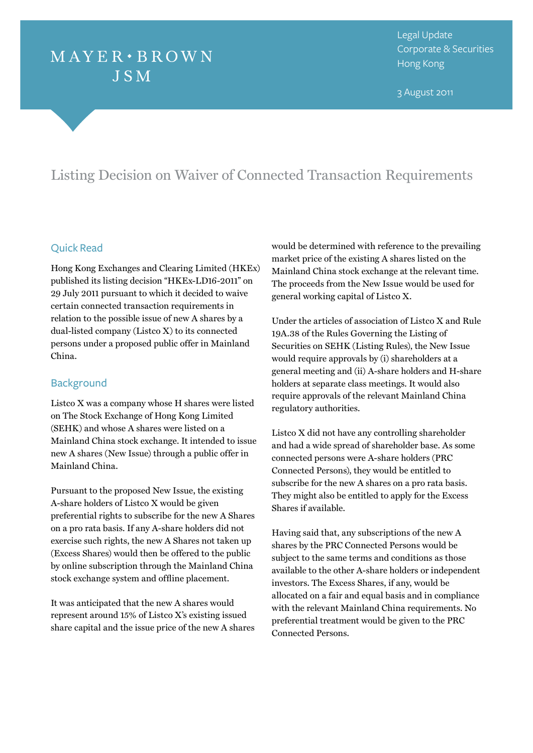# $MAYER \cdot BROWN$ **JSM**

Legal Update Corporate & Securities Hong Kong

3 August 2011

# Listing Decision on Waiver of Connected Transaction Requirements

#### Quick Read

Hong Kong Exchanges and Clearing Limited (HKEx) published its listing decision "HKEx-LD16-2011" on 29 July 2011 pursuant to which it decided to waive certain connected transaction requirements in relation to the possible issue of new A shares by a dual-listed company (Listco X) to its connected persons under a proposed public offer in Mainland China.

# **Background**

Listco X was a company whose H shares were listed on The Stock Exchange of Hong Kong Limited (SEHK) and whose A shares were listed on a Mainland China stock exchange. It intended to issue new A shares (New Issue) through a public offer in Mainland China.

Pursuant to the proposed New Issue, the existing A-share holders of Listco X would be given preferential rights to subscribe for the new A Shares on a pro rata basis. If any A-share holders did not exercise such rights, the new A Shares not taken up (Excess Shares) would then be offered to the public by online subscription through the Mainland China stock exchange system and offline placement.

It was anticipated that the new A shares would represent around 15% of Listco X's existing issued share capital and the issue price of the new A shares

would be determined with reference to the prevailing market price of the existing A shares listed on the Mainland China stock exchange at the relevant time. The proceeds from the New Issue would be used for general working capital of Listco X.

Under the articles of association of Listco X and Rule 19A.38 of the Rules Governing the Listing of Securities on SEHK (Listing Rules), the New Issue would require approvals by (i) shareholders at a general meeting and (ii) A-share holders and H-share holders at separate class meetings. It would also require approvals of the relevant Mainland China regulatory authorities.

Listco X did not have any controlling shareholder and had a wide spread of shareholder base. As some connected persons were A-share holders (PRC Connected Persons), they would be entitled to subscribe for the new A shares on a pro rata basis. They might also be entitled to apply for the Excess Shares if available.

Having said that, any subscriptions of the new A shares by the PRC Connected Persons would be subject to the same terms and conditions as those available to the other A-share holders or independent investors. The Excess Shares, if any, would be allocated on a fair and equal basis and in compliance with the relevant Mainland China requirements. No preferential treatment would be given to the PRC Connected Persons.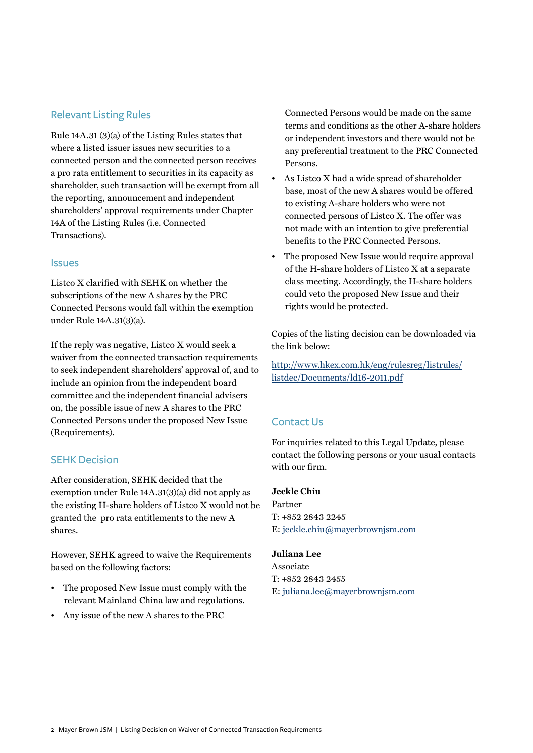## Relevant Listing Rules

Rule 14A.31 (3)(a) of the Listing Rules states that where a listed issuer issues new securities to a connected person and the connected person receives a pro rata entitlement to securities in its capacity as shareholder, such transaction will be exempt from all the reporting, announcement and independent shareholders' approval requirements under Chapter 14A of the Listing Rules (i.e. Connected Transactions).

#### **Issues**

Listco X clarified with SEHK on whether the subscriptions of the new A shares by the PRC Connected Persons would fall within the exemption under Rule 14A.31(3)(a).

If the reply was negative, Listco X would seek a waiver from the connected transaction requirements to seek independent shareholders' approval of, and to include an opinion from the independent board committee and the independent financial advisers on, the possible issue of new A shares to the PRC Connected Persons under the proposed New Issue (Requirements).

# SEHK Decision

After consideration, SEHK decided that the exemption under Rule 14A.31(3)(a) did not apply as the existing H-share holders of Listco X would not be granted the pro rata entitlements to the new A shares.

However, SEHK agreed to waive the Requirements based on the following factors:

- The proposed New Issue must comply with the relevant Mainland China law and regulations.
- Any issue of the new A shares to the PRC

Connected Persons would be made on the same terms and conditions as the other A-share holders or independent investors and there would not be any preferential treatment to the PRC Connected Persons.

- As Listco X had a wide spread of shareholder base, most of the new A shares would be offered to existing A-share holders who were not connected persons of Listco X. The offer was not made with an intention to give preferential benefits to the PRC Connected Persons.
- The proposed New Issue would require approval of the H-share holders of Listco X at a separate class meeting. Accordingly, the H-share holders could veto the proposed New Issue and their rights would be protected.

Copies of the listing decision can be downloaded via the link below:

[http://www.hkex.com.hk/eng/rulesreg/listrules/](http://www.hkex.com.hk/eng/rulesreg/listrules/listdec/Documents/ld16-2011.pdf) listdec/Documents/ld16-2011.pdf

### Contact Us

For inquiries related to this Legal Update, please contact the following persons or your usual contacts with our firm.

#### **Jeckle Chiu**

Partner T: +852 2843 2245 E: jeckle.chiu@mayerbrownjsm.com

#### **Juliana Lee**

Associate T: +852 2843 2455 E: juliana.lee@mayerbrownjsm.com